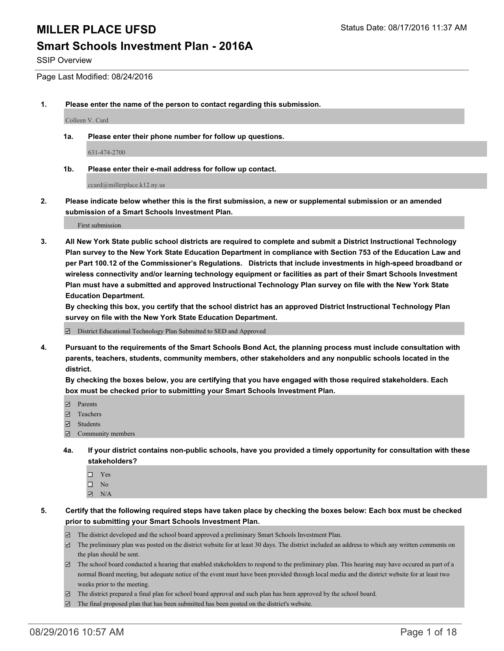#### **Smart Schools Investment Plan - 2016A**

SSIP Overview

Page Last Modified: 08/24/2016

**1. Please enter the name of the person to contact regarding this submission.**

Colleen V. Card

**1a. Please enter their phone number for follow up questions.**

631-474-2700

**1b. Please enter their e-mail address for follow up contact.**

ccard@millerplace.k12.ny.us

**2. Please indicate below whether this is the first submission, a new or supplemental submission or an amended submission of a Smart Schools Investment Plan.**

First submission

**3. All New York State public school districts are required to complete and submit a District Instructional Technology Plan survey to the New York State Education Department in compliance with Section 753 of the Education Law and per Part 100.12 of the Commissioner's Regulations. Districts that include investments in high-speed broadband or wireless connectivity and/or learning technology equipment or facilities as part of their Smart Schools Investment Plan must have a submitted and approved Instructional Technology Plan survey on file with the New York State Education Department.** 

**By checking this box, you certify that the school district has an approved District Instructional Technology Plan survey on file with the New York State Education Department.**

District Educational Technology Plan Submitted to SED and Approved

**4. Pursuant to the requirements of the Smart Schools Bond Act, the planning process must include consultation with parents, teachers, students, community members, other stakeholders and any nonpublic schools located in the district.** 

**By checking the boxes below, you are certifying that you have engaged with those required stakeholders. Each box must be checked prior to submitting your Smart Schools Investment Plan.**

- **Parents**
- Teachers
- **E** Students
- Community members
- **4a. If your district contains non-public schools, have you provided a timely opportunity for consultation with these stakeholders?**
	- $\Box$  Yes  $\square$  No
	- $\blacksquare$  N/A
- **5. Certify that the following required steps have taken place by checking the boxes below: Each box must be checked prior to submitting your Smart Schools Investment Plan.**
	- The district developed and the school board approved a preliminary Smart Schools Investment Plan.
	- $\Box$  The preliminary plan was posted on the district website for at least 30 days. The district included an address to which any written comments on the plan should be sent.
	- $\Box$  The school board conducted a hearing that enabled stakeholders to respond to the preliminary plan. This hearing may have occured as part of a normal Board meeting, but adequate notice of the event must have been provided through local media and the district website for at least two weeks prior to the meeting.
	- The district prepared a final plan for school board approval and such plan has been approved by the school board.
	- $\Xi$  The final proposed plan that has been submitted has been posted on the district's website.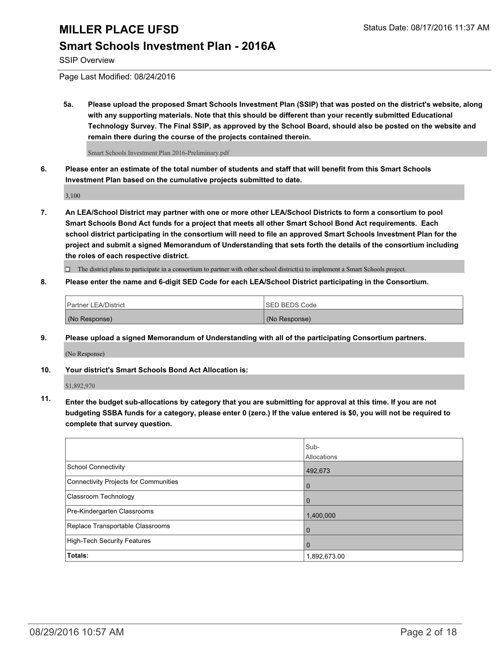#### **Smart Schools Investment Plan - 2016A**

SSIP Overview

Page Last Modified: 08/24/2016

**5a. Please upload the proposed Smart Schools Investment Plan (SSIP) that was posted on the district's website, along with any supporting materials. Note that this should be different than your recently submitted Educational Technology Survey. The Final SSIP, as approved by the School Board, should also be posted on the website and remain there during the course of the projects contained therein.**

Smart Schools Investment Plan 2016-Preliminary.pdf

**6. Please enter an estimate of the total number of students and staff that will benefit from this Smart Schools Investment Plan based on the cumulative projects submitted to date.**

3,100

**7. An LEA/School District may partner with one or more other LEA/School Districts to form a consortium to pool Smart Schools Bond Act funds for a project that meets all other Smart School Bond Act requirements. Each school district participating in the consortium will need to file an approved Smart Schools Investment Plan for the project and submit a signed Memorandum of Understanding that sets forth the details of the consortium including the roles of each respective district.**

 $\Box$  The district plans to participate in a consortium to partner with other school district(s) to implement a Smart Schools project.

**8. Please enter the name and 6-digit SED Code for each LEA/School District participating in the Consortium.**

| <sup>1</sup> Partner LEA/District | <b>ISED BEDS Code</b> |
|-----------------------------------|-----------------------|
| (No Response)                     | (No Response)         |

**9. Please upload a signed Memorandum of Understanding with all of the participating Consortium partners.**

(No Response)

**10. Your district's Smart Schools Bond Act Allocation is:**

\$1,892,970

**11. Enter the budget sub-allocations by category that you are submitting for approval at this time. If you are not budgeting SSBA funds for a category, please enter 0 (zero.) If the value entered is \$0, you will not be required to complete that survey question.**

|                                       | Sub-<br>Allocations |
|---------------------------------------|---------------------|
| School Connectivity                   | 492,673             |
| Connectivity Projects for Communities |                     |
| <b>Classroom Technology</b>           |                     |
| Pre-Kindergarten Classrooms           | 1,400,000           |
| Replace Transportable Classrooms      | U                   |
| High-Tech Security Features           |                     |
| Totals:                               | 1,892,673.00        |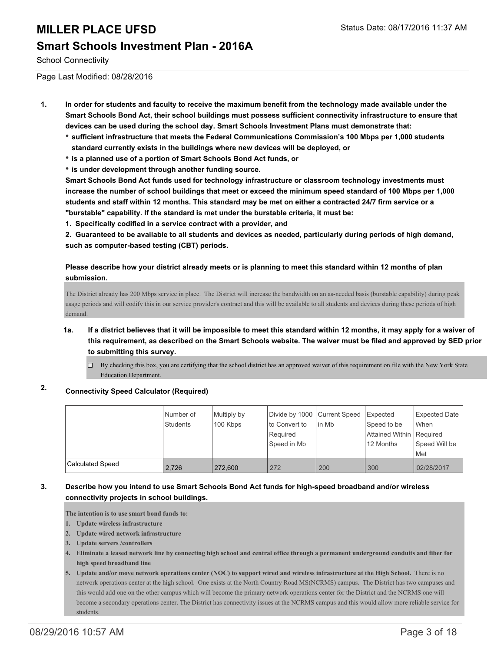#### **Smart Schools Investment Plan - 2016A**

School Connectivity

Page Last Modified: 08/28/2016

- **1. In order for students and faculty to receive the maximum benefit from the technology made available under the Smart Schools Bond Act, their school buildings must possess sufficient connectivity infrastructure to ensure that devices can be used during the school day. Smart Schools Investment Plans must demonstrate that:**
	- **sufficient infrastructure that meets the Federal Communications Commission's 100 Mbps per 1,000 students standard currently exists in the buildings where new devices will be deployed, or**
	- **is a planned use of a portion of Smart Schools Bond Act funds, or**
	- **is under development through another funding source.**

**Smart Schools Bond Act funds used for technology infrastructure or classroom technology investments must increase the number of school buildings that meet or exceed the minimum speed standard of 100 Mbps per 1,000 students and staff within 12 months. This standard may be met on either a contracted 24/7 firm service or a "burstable" capability. If the standard is met under the burstable criteria, it must be:**

**1. Specifically codified in a service contract with a provider, and**

**2. Guaranteed to be available to all students and devices as needed, particularly during periods of high demand, such as computer-based testing (CBT) periods.**

#### **Please describe how your district already meets or is planning to meet this standard within 12 months of plan submission.**

The District already has 200 Mbps service in place. The District will increase the bandwidth on an as-needed basis (burstable capability) during peak usage periods and will codify this in our service provider's contract and this will be available to all students and devices during these periods of high demand.

- **1a. If a district believes that it will be impossible to meet this standard within 12 months, it may apply for a waiver of this requirement, as described on the Smart Schools website. The waiver must be filed and approved by SED prior to submitting this survey.**
	- $\Box$  By checking this box, you are certifying that the school district has an approved waiver of this requirement on file with the New York State Education Department.

#### **2. Connectivity Speed Calculator (Required)**

|                         | Number of<br><b>Students</b> | Multiply by<br>100 Kbps | Divide by 1000 Current Speed<br>Ito Convert to<br>Required<br>Speed in Mb | in Mb | Expected<br>Speed to be<br>Attained Within   Required<br>12 Months | <b>Expected Date</b><br>When<br>Speed Will be<br>Met |
|-------------------------|------------------------------|-------------------------|---------------------------------------------------------------------------|-------|--------------------------------------------------------------------|------------------------------------------------------|
| <b>Calculated Speed</b> | 2.726                        | 272,600                 | 272                                                                       | 200   | 300                                                                | 02/28/2017                                           |

#### **3. Describe how you intend to use Smart Schools Bond Act funds for high-speed broadband and/or wireless connectivity projects in school buildings.**

**The intention is to use smart bond funds to:**

- **1. Update wireless infrastructure**
- **2. Update wired network infrastructure**
- **3. Update servers /controllers**
- **Eliminate a leased network line by connecting high school and central office through a permanent underground conduits and fiber for 4. high speed broadband line**
- **Update and/or move network operations center (NOC) to support wired and wireless infrastructure at the High School.** There is no **5.** network operations center at the high school. One exists at the North Country Road MS(NCRMS) campus. The District has two campuses and this would add one on the other campus which will become the primary network operations center for the District and the NCRMS one will become a secondary operations center. The District has connectivity issues at the NCRMS campus and this would allow more reliable service for students.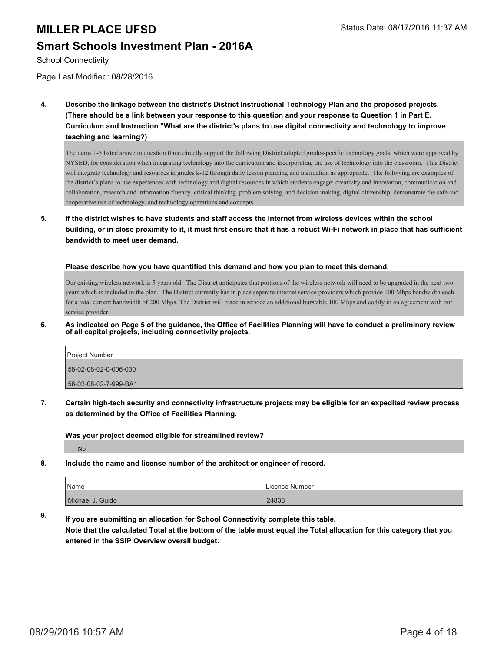### **Smart Schools Investment Plan - 2016A**

School Connectivity

Page Last Modified: 08/28/2016

**4. Describe the linkage between the district's District Instructional Technology Plan and the proposed projects. (There should be a link between your response to this question and your response to Question 1 in Part E. Curriculum and Instruction "What are the district's plans to use digital connectivity and technology to improve teaching and learning?)**

The items 1-5 listed above in question three directly support the following District adopted grade-specific technology goals, which were approved by NYSED, for consideration when integrating technology into the curriculum and incorporating the use of technology into the classroom. This District will integrate technology and resources in grades k-12 through daily lesson planning and instruction as appropriate. The following are examples of the district's plans to use experiences with technology and digital resources in which students engage: creativity and innovation, communication and collaboration, research and information fluency, critical thinking, problem solving, and decision making, digital citizenship, demonstrate the safe and cooperative use of technology, and technology operations and concepts.

**5. If the district wishes to have students and staff access the Internet from wireless devices within the school building, or in close proximity to it, it must first ensure that it has a robust Wi-Fi network in place that has sufficient bandwidth to meet user demand.**

**Please describe how you have quantified this demand and how you plan to meet this demand.**

Our existing wireless network is 5 years old. The District anticipates that portions of the wireless network will need to be upgraded in the next two years which is included in the plan. The District currently has in place separate internet service providers which provide 100 Mbps bandwidth each for a total current bandwidth of 200 Mbps. The District will place in service an additional burstable 100 Mbps and codify in an agreement with our service provider.

**6. As indicated on Page 5 of the guidance, the Office of Facilities Planning will have to conduct a preliminary review of all capital projects, including connectivity projects.**

| Project Number        |  |
|-----------------------|--|
| 58-02-08-02-0-006-030 |  |
| 58-02-08-02-7-999-BA1 |  |

**7. Certain high-tech security and connectivity infrastructure projects may be eligible for an expedited review process as determined by the Office of Facilities Planning.**

**Was your project deemed eligible for streamlined review?**

No

**8. Include the name and license number of the architect or engineer of record.**

| Name             | License Number |
|------------------|----------------|
| Michael J. Guido | 24838          |

**9. If you are submitting an allocation for School Connectivity complete this table. Note that the calculated Total at the bottom of the table must equal the Total allocation for this category that you entered in the SSIP Overview overall budget.**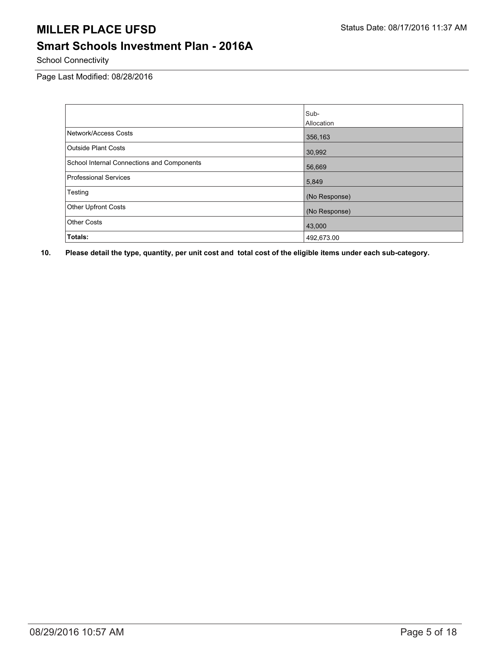### **Smart Schools Investment Plan - 2016A**

School Connectivity

Page Last Modified: 08/28/2016

|                                            | Sub-          |
|--------------------------------------------|---------------|
|                                            | Allocation    |
| Network/Access Costs                       | 356,163       |
| <b>Outside Plant Costs</b>                 | 30,992        |
| School Internal Connections and Components | 56,669        |
| <b>Professional Services</b>               | 5,849         |
| Testing                                    | (No Response) |
| <b>Other Upfront Costs</b>                 | (No Response) |
| <b>Other Costs</b>                         | 43,000        |
| Totals:                                    | 492,673.00    |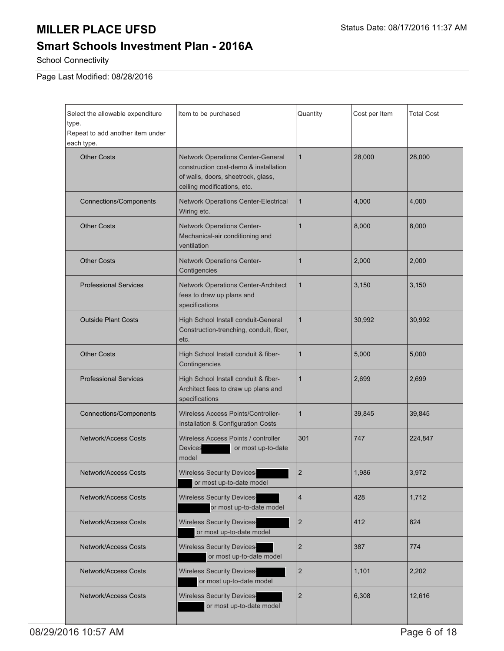### **Smart Schools Investment Plan - 2016A**

School Connectivity

Page Last Modified: 08/28/2016

| Select the allowable expenditure<br>type.<br>Repeat to add another item under<br>each type. | Item to be purchased                                                                                                                                   | Quantity                | Cost per Item | <b>Total Cost</b> |
|---------------------------------------------------------------------------------------------|--------------------------------------------------------------------------------------------------------------------------------------------------------|-------------------------|---------------|-------------------|
| <b>Other Costs</b>                                                                          | <b>Network Operations Center-General</b><br>construction cost-demo & installation<br>of walls, doors, sheetrock, glass,<br>ceiling modifications, etc. | $\mathbf{1}$            | 28,000        | 28,000            |
| <b>Connections/Components</b>                                                               | Network Operations Center-Electrical<br>Wiring etc.                                                                                                    | 1                       | 4,000         | 4,000             |
| <b>Other Costs</b>                                                                          | Network Operations Center-<br>Mechanical-air conditioning and<br>ventilation                                                                           | 1                       | 8,000         | 8,000             |
| <b>Other Costs</b>                                                                          | Network Operations Center-<br>Contigencies                                                                                                             | 1                       | 2,000         | 2,000             |
| <b>Professional Services</b>                                                                | Network Operations Center-Architect<br>fees to draw up plans and<br>specifications                                                                     | 1                       | 3,150         | 3,150             |
| <b>Outside Plant Costs</b>                                                                  | High School Install conduit-General<br>Construction-trenching, conduit, fiber,<br>etc.                                                                 | 1                       | 30,992        | 30,992            |
| <b>Other Costs</b>                                                                          | High School Install conduit & fiber-<br>Contingencies                                                                                                  | 1                       | 5,000         | 5,000             |
| <b>Professional Services</b>                                                                | High School Install conduit & fiber-<br>Architect fees to draw up plans and<br>specifications                                                          |                         | 2,699         | 2,699             |
| <b>Connections/Components</b>                                                               | <b>Wireless Access Points/Controller-</b><br>Installation & Configuration Costs                                                                        |                         | 39,845        | 39,845            |
| <b>Network/Access Costs</b>                                                                 | Wireless Access Points / controller<br>Devices<br>or most up-to-date<br>model                                                                          |                         | 747           | 224,847           |
| Network/Access Costs                                                                        | <b>Wireless Security Devices-</b><br>or most up-to-date model                                                                                          | $\overline{2}$          | 1,986         | 3,972             |
| <b>Network/Access Costs</b>                                                                 | <b>Wireless Security Devices-</b><br>or most up-to-date model                                                                                          |                         | 428           | 1,712             |
| Network/Access Costs                                                                        | <b>Wireless Security Devices-</b><br>or most up-to-date model                                                                                          | $\overline{\mathbf{c}}$ | 412           | 824               |
| <b>Network/Access Costs</b>                                                                 | <b>Wireless Security Devices-</b><br>or most up-to-date model                                                                                          | $\overline{2}$          | 387           | 774               |
| <b>Network/Access Costs</b>                                                                 | <b>Wireless Security Devices-</b><br>or most up-to-date model                                                                                          | $\overline{\mathbf{c}}$ | 1,101         | 2,202             |
| <b>Network/Access Costs</b>                                                                 | <b>Wireless Security Devices-</b><br>or most up-to-date model                                                                                          |                         | 6,308         | 12,616            |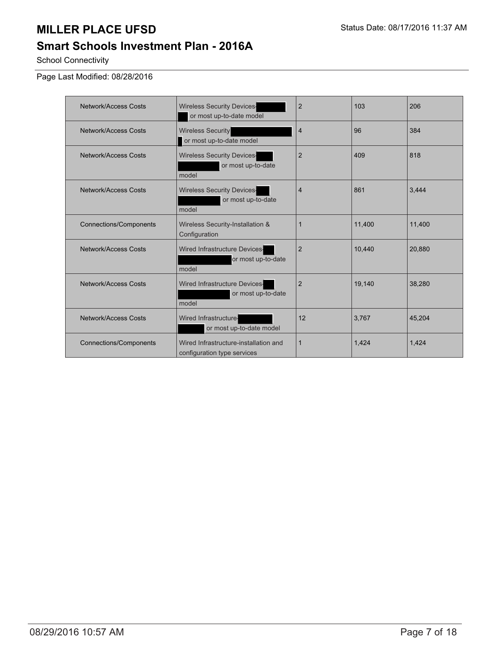### **Smart Schools Investment Plan - 2016A**

School Connectivity

Page Last Modified: 08/28/2016

| Network/Access Costs          | <b>Wireless Security Devices-</b><br>or most up-to-date model        | $\overline{2}$ | 103    | 206    |
|-------------------------------|----------------------------------------------------------------------|----------------|--------|--------|
| Network/Access Costs          | <b>Wireless Security</b><br>or most up-to-date model                 | $\overline{4}$ | 96     | 384    |
| <b>Network/Access Costs</b>   | <b>Wireless Security Devices-</b><br>or most up-to-date<br>model     | $\overline{2}$ | 409    | 818    |
| Network/Access Costs          | <b>Wireless Security Devices-</b><br>or most up-to-date<br>model     | $\overline{4}$ | 861    | 3,444  |
| <b>Connections/Components</b> | Wireless Security-Installation &<br>Configuration                    | $\overline{1}$ | 11.400 | 11,400 |
| Network/Access Costs          | Wired Infrastructure Devices-<br>or most up-to-date<br>model         | $\overline{2}$ | 10,440 | 20,880 |
| Network/Access Costs          | Wired Infrastructure Devices-<br>or most up-to-date<br>model         | $\overline{2}$ | 19,140 | 38,280 |
| Network/Access Costs          | Wired Infrastructure-<br>or most up-to-date model                    | 12             | 3.767  | 45,204 |
| <b>Connections/Components</b> | Wired Infrastructure-installation and<br>configuration type services | $\mathbf{1}$   | 1,424  | 1,424  |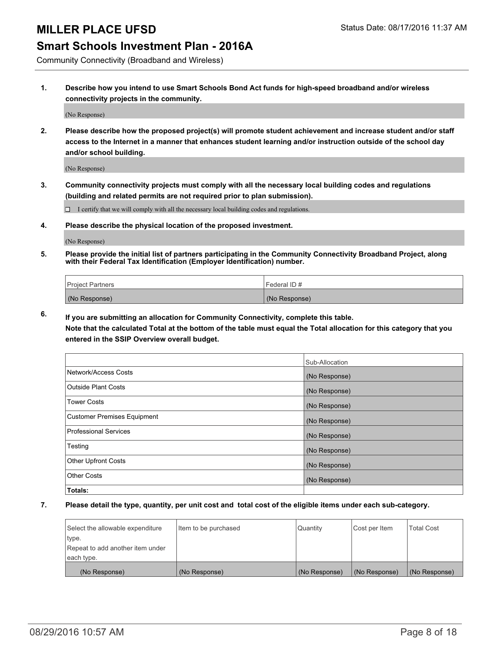#### **Smart Schools Investment Plan - 2016A**

Community Connectivity (Broadband and Wireless)

**1. Describe how you intend to use Smart Schools Bond Act funds for high-speed broadband and/or wireless connectivity projects in the community.**

(No Response)

**2. Please describe how the proposed project(s) will promote student achievement and increase student and/or staff access to the Internet in a manner that enhances student learning and/or instruction outside of the school day and/or school building.**

(No Response)

**3. Community connectivity projects must comply with all the necessary local building codes and regulations (building and related permits are not required prior to plan submission).**

 $\Box$  I certify that we will comply with all the necessary local building codes and regulations.

**4. Please describe the physical location of the proposed investment.**

(No Response)

**5. Please provide the initial list of partners participating in the Community Connectivity Broadband Project, along with their Federal Tax Identification (Employer Identification) number.**

| <b>Project Partners</b> | Federal ID #  |
|-------------------------|---------------|
| (No Response)           | (No Response) |

**6. If you are submitting an allocation for Community Connectivity, complete this table.**

**Note that the calculated Total at the bottom of the table must equal the Total allocation for this category that you entered in the SSIP Overview overall budget.**

|                                    | Sub-Allocation |
|------------------------------------|----------------|
| Network/Access Costs               | (No Response)  |
| Outside Plant Costs                | (No Response)  |
| <b>Tower Costs</b>                 | (No Response)  |
| <b>Customer Premises Equipment</b> | (No Response)  |
| Professional Services              | (No Response)  |
| Testing                            | (No Response)  |
| <b>Other Upfront Costs</b>         | (No Response)  |
| Other Costs                        | (No Response)  |
| Totals:                            |                |

| Select the allowable expenditure | Item to be purchased | Quantity      | Cost per Item | <b>Total Cost</b> |
|----------------------------------|----------------------|---------------|---------------|-------------------|
| type.                            |                      |               |               |                   |
| Repeat to add another item under |                      |               |               |                   |
| each type.                       |                      |               |               |                   |
| (No Response)                    | (No Response)        | (No Response) | (No Response) | (No Response)     |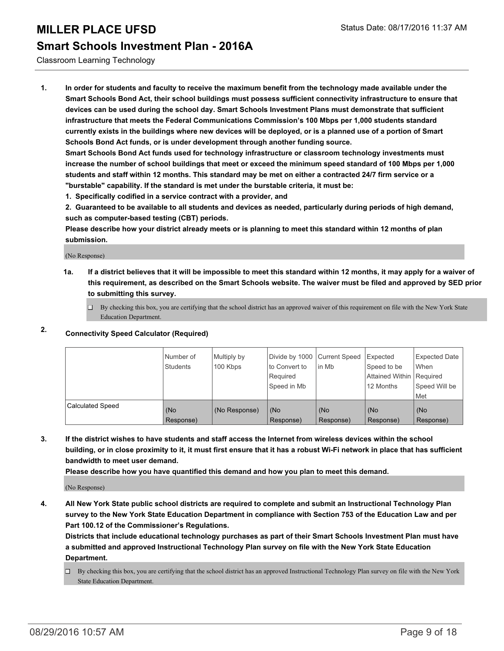#### **Smart Schools Investment Plan - 2016A**

Classroom Learning Technology

**1. In order for students and faculty to receive the maximum benefit from the technology made available under the Smart Schools Bond Act, their school buildings must possess sufficient connectivity infrastructure to ensure that devices can be used during the school day. Smart Schools Investment Plans must demonstrate that sufficient infrastructure that meets the Federal Communications Commission's 100 Mbps per 1,000 students standard currently exists in the buildings where new devices will be deployed, or is a planned use of a portion of Smart Schools Bond Act funds, or is under development through another funding source.**

**Smart Schools Bond Act funds used for technology infrastructure or classroom technology investments must increase the number of school buildings that meet or exceed the minimum speed standard of 100 Mbps per 1,000 students and staff within 12 months. This standard may be met on either a contracted 24/7 firm service or a "burstable" capability. If the standard is met under the burstable criteria, it must be:**

**1. Specifically codified in a service contract with a provider, and**

**2. Guaranteed to be available to all students and devices as needed, particularly during periods of high demand, such as computer-based testing (CBT) periods.**

**Please describe how your district already meets or is planning to meet this standard within 12 months of plan submission.**

(No Response)

**1a. If a district believes that it will be impossible to meet this standard within 12 months, it may apply for a waiver of this requirement, as described on the Smart Schools website. The waiver must be filed and approved by SED prior to submitting this survey.**

 $\Box$  By checking this box, you are certifying that the school district has an approved waiver of this requirement on file with the New York State Education Department.

#### **2. Connectivity Speed Calculator (Required)**

|                         | Number of<br><b>Students</b> | Multiply by<br>100 Kbps | Divide by 1000 Current Speed<br>to Convert to<br>Required<br>Speed in Mb | lin Mb           | Expected<br>Speed to be<br>Attained Within   Required<br>12 Months | <b>Expected Date</b><br>l When<br>Speed Will be<br>Met |
|-------------------------|------------------------------|-------------------------|--------------------------------------------------------------------------|------------------|--------------------------------------------------------------------|--------------------------------------------------------|
| <b>Calculated Speed</b> | (No<br>Response)             | (No Response)           | (No<br>Response)                                                         | (No<br>Response) | (No<br>Response)                                                   | (No<br>Response)                                       |

**3. If the district wishes to have students and staff access the Internet from wireless devices within the school building, or in close proximity to it, it must first ensure that it has a robust Wi-Fi network in place that has sufficient bandwidth to meet user demand.**

**Please describe how you have quantified this demand and how you plan to meet this demand.**

(No Response)

**4. All New York State public school districts are required to complete and submit an Instructional Technology Plan survey to the New York State Education Department in compliance with Section 753 of the Education Law and per Part 100.12 of the Commissioner's Regulations.**

**Districts that include educational technology purchases as part of their Smart Schools Investment Plan must have a submitted and approved Instructional Technology Plan survey on file with the New York State Education Department.**

 $\Box$  By checking this box, you are certifying that the school district has an approved Instructional Technology Plan survey on file with the New York State Education Department.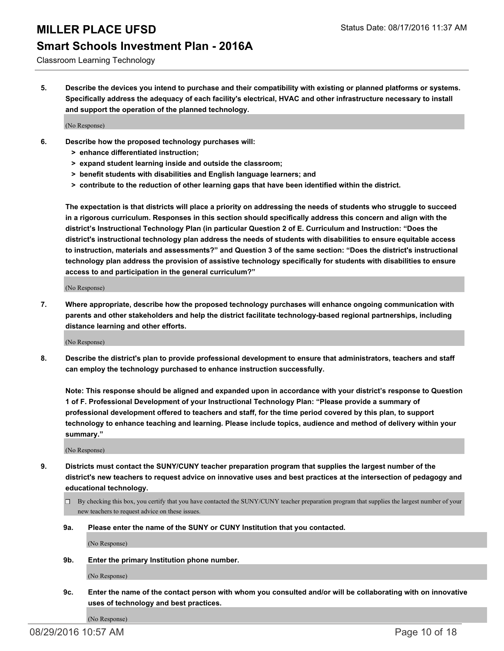### **Smart Schools Investment Plan - 2016A**

Classroom Learning Technology

**5. Describe the devices you intend to purchase and their compatibility with existing or planned platforms or systems. Specifically address the adequacy of each facility's electrical, HVAC and other infrastructure necessary to install and support the operation of the planned technology.**

(No Response)

- **6. Describe how the proposed technology purchases will:**
	- **> enhance differentiated instruction;**
	- **> expand student learning inside and outside the classroom;**
	- **> benefit students with disabilities and English language learners; and**
	- **> contribute to the reduction of other learning gaps that have been identified within the district.**

**The expectation is that districts will place a priority on addressing the needs of students who struggle to succeed in a rigorous curriculum. Responses in this section should specifically address this concern and align with the district's Instructional Technology Plan (in particular Question 2 of E. Curriculum and Instruction: "Does the district's instructional technology plan address the needs of students with disabilities to ensure equitable access to instruction, materials and assessments?" and Question 3 of the same section: "Does the district's instructional technology plan address the provision of assistive technology specifically for students with disabilities to ensure access to and participation in the general curriculum?"**

(No Response)

**7. Where appropriate, describe how the proposed technology purchases will enhance ongoing communication with parents and other stakeholders and help the district facilitate technology-based regional partnerships, including distance learning and other efforts.**

(No Response)

**8. Describe the district's plan to provide professional development to ensure that administrators, teachers and staff can employ the technology purchased to enhance instruction successfully.**

**Note: This response should be aligned and expanded upon in accordance with your district's response to Question 1 of F. Professional Development of your Instructional Technology Plan: "Please provide a summary of professional development offered to teachers and staff, for the time period covered by this plan, to support technology to enhance teaching and learning. Please include topics, audience and method of delivery within your summary."**

(No Response)

- **9. Districts must contact the SUNY/CUNY teacher preparation program that supplies the largest number of the district's new teachers to request advice on innovative uses and best practices at the intersection of pedagogy and educational technology.**
	- $\square$  By checking this box, you certify that you have contacted the SUNY/CUNY teacher preparation program that supplies the largest number of your new teachers to request advice on these issues.
	- **9a. Please enter the name of the SUNY or CUNY Institution that you contacted.**

(No Response)

**9b. Enter the primary Institution phone number.**

(No Response)

**9c. Enter the name of the contact person with whom you consulted and/or will be collaborating with on innovative uses of technology and best practices.**

(No Response)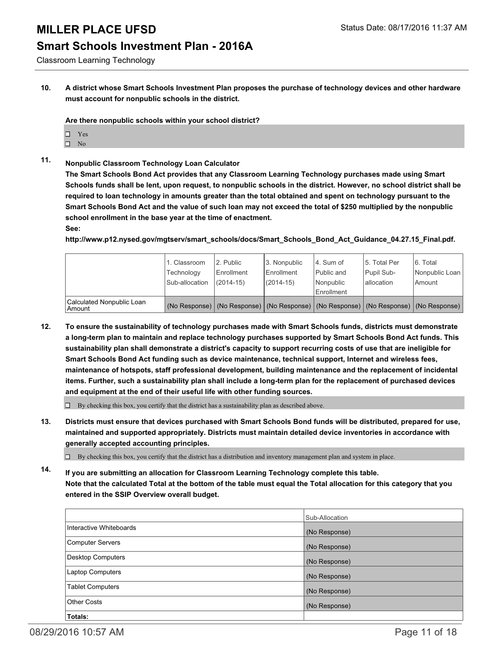### **Smart Schools Investment Plan - 2016A**

Classroom Learning Technology

**10. A district whose Smart Schools Investment Plan proposes the purchase of technology devices and other hardware must account for nonpublic schools in the district.**

**Are there nonpublic schools within your school district?**

- □ Yes
- $\square$  No
- **11. Nonpublic Classroom Technology Loan Calculator**

**The Smart Schools Bond Act provides that any Classroom Learning Technology purchases made using Smart Schools funds shall be lent, upon request, to nonpublic schools in the district. However, no school district shall be required to loan technology in amounts greater than the total obtained and spent on technology pursuant to the Smart Schools Bond Act and the value of such loan may not exceed the total of \$250 multiplied by the nonpublic school enrollment in the base year at the time of enactment. See:**

**http://www.p12.nysed.gov/mgtserv/smart\_schools/docs/Smart\_Schools\_Bond\_Act\_Guidance\_04.27.15\_Final.pdf.**

|                                       | 1. Classroom<br>Technology<br>Sub-allocation | 2. Public<br>Enrollment<br>$(2014 - 15)$ | 3. Nonpublic<br>Enrollment<br>$(2014 - 15)$ | 4. Sum of<br>Public and<br>Nonpublic<br>Enrollment                                            | 5. Total Per<br>Pupil Sub-<br>lallocation | 6. Total<br>Nonpublic Loan<br>Amount |
|---------------------------------------|----------------------------------------------|------------------------------------------|---------------------------------------------|-----------------------------------------------------------------------------------------------|-------------------------------------------|--------------------------------------|
| Calculated Nonpublic Loan<br>  Amount |                                              |                                          |                                             | (No Response)   (No Response)   (No Response)   (No Response)   (No Response)   (No Response) |                                           |                                      |

**12. To ensure the sustainability of technology purchases made with Smart Schools funds, districts must demonstrate a long-term plan to maintain and replace technology purchases supported by Smart Schools Bond Act funds. This sustainability plan shall demonstrate a district's capacity to support recurring costs of use that are ineligible for Smart Schools Bond Act funding such as device maintenance, technical support, Internet and wireless fees, maintenance of hotspots, staff professional development, building maintenance and the replacement of incidental items. Further, such a sustainability plan shall include a long-term plan for the replacement of purchased devices and equipment at the end of their useful life with other funding sources.**

 $\Box$  By checking this box, you certify that the district has a sustainability plan as described above.

**13. Districts must ensure that devices purchased with Smart Schools Bond funds will be distributed, prepared for use, maintained and supported appropriately. Districts must maintain detailed device inventories in accordance with generally accepted accounting principles.**

 $\Box$  By checking this box, you certify that the district has a distribution and inventory management plan and system in place.

**14. If you are submitting an allocation for Classroom Learning Technology complete this table. Note that the calculated Total at the bottom of the table must equal the Total allocation for this category that you entered in the SSIP Overview overall budget.**

|                          | Sub-Allocation |
|--------------------------|----------------|
| Interactive Whiteboards  | (No Response)  |
| Computer Servers         | (No Response)  |
| <b>Desktop Computers</b> | (No Response)  |
| Laptop Computers         | (No Response)  |
| <b>Tablet Computers</b>  | (No Response)  |
| <b>Other Costs</b>       | (No Response)  |
| Totals:                  |                |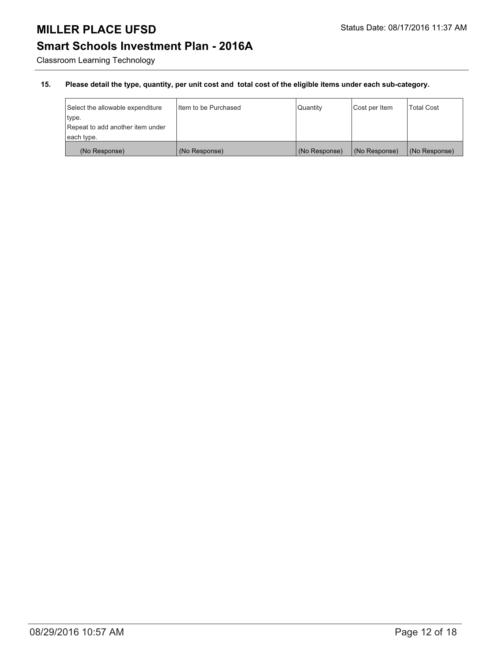### **Smart Schools Investment Plan - 2016A**

Classroom Learning Technology

| Select the allowable expenditure | I Item to be Purchased | Quantity      | Cost per Item | <b>Total Cost</b> |
|----------------------------------|------------------------|---------------|---------------|-------------------|
| type.                            |                        |               |               |                   |
| Repeat to add another item under |                        |               |               |                   |
| each type.                       |                        |               |               |                   |
| (No Response)                    | (No Response)          | (No Response) | (No Response) | (No Response)     |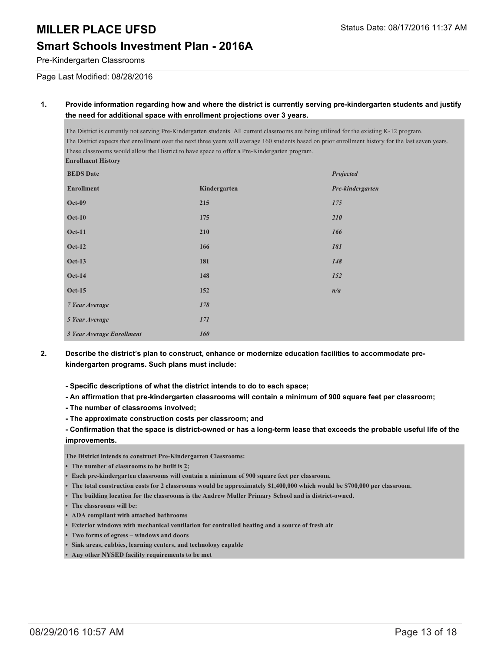### **Smart Schools Investment Plan - 2016A**

Pre-Kindergarten Classrooms

Page Last Modified: 08/28/2016

#### **1. Provide information regarding how and where the district is currently serving pre-kindergarten students and justify the need for additional space with enrollment projections over 3 years.**

The District is currently not serving Pre-Kindergarten students. All current classrooms are being utilized for the existing K-12 program. The District expects that enrollment over the next three years will average 160 students based on prior enrollment history for the last seven years. These classrooms would allow the District to have space to offer a Pre-Kindergarten program. **Enrollment History BEDS Date** *Projected*

| <b>Enrollment</b>         | Kindergarten | Pre-kindergarten |
|---------------------------|--------------|------------------|
| <b>Oct-09</b>             | 215          | 175              |
| $Oct-10$                  | 175          | 210              |
| <b>Oct-11</b>             | 210          | 166              |
| <b>Oct-12</b>             | 166          | 181              |
| <b>Oct-13</b>             | 181          | 148              |
| <b>Oct-14</b>             | 148          | 152              |
| <b>Oct-15</b>             | 152          | n/a              |
| 7 Year Average            | 178          |                  |
| 5 Year Average            | 171          |                  |
| 3 Year Average Enrollment | 160          |                  |
|                           |              |                  |

- **2. Describe the district's plan to construct, enhance or modernize education facilities to accommodate prekindergarten programs. Such plans must include:**
	- **Specific descriptions of what the district intends to do to each space;**
	- **An affirmation that pre-kindergarten classrooms will contain a minimum of 900 square feet per classroom;**
	- **The number of classrooms involved;**
	- **The approximate construction costs per classroom; and**
	- **Confirmation that the space is district-owned or has a long-term lease that exceeds the probable useful life of the improvements.**

**The District intends to construct Pre-Kindergarten Classrooms:**

- **• The number of classrooms to be built is 2;**
- **• Each pre-kindergarten classrooms will contain a minimum of 900 square feet per classroom.**
- **• The total construction costs for 2 classrooms would be approximately \$1,400,000 which would be \$700,000 per classroom.**
- **• The building location for the classrooms is the Andrew Muller Primary School and is district-owned.**
- **• The classrooms will be:**
- **• ADA compliant with attached bathrooms**
- **• Exterior windows with mechanical ventilation for controlled heating and a source of fresh air**
- **• Two forms of egress windows and doors**
- **• Sink areas, cubbies, learning centers, and technology capable**
- **• Any other NYSED facility requirements to be met**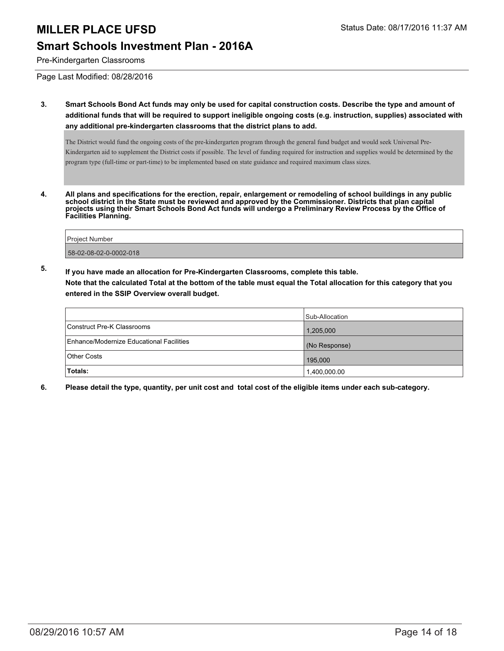#### **Smart Schools Investment Plan - 2016A**

Pre-Kindergarten Classrooms

Page Last Modified: 08/28/2016

**3. Smart Schools Bond Act funds may only be used for capital construction costs. Describe the type and amount of additional funds that will be required to support ineligible ongoing costs (e.g. instruction, supplies) associated with any additional pre-kindergarten classrooms that the district plans to add.**

The District would fund the ongoing costs of the pre-kindergarten program through the general fund budget and would seek Universal Pre-Kindergarten aid to supplement the District costs if possible. The level of funding required for instruction and supplies would be determined by the program type (full-time or part-time) to be implemented based on state guidance and required maximum class sizes.

**4. All plans and specifications for the erection, repair, enlargement or remodeling of school buildings in any public school district in the State must be reviewed and approved by the Commissioner. Districts that plan capital projects using their Smart Schools Bond Act funds will undergo a Preliminary Review Process by the Office of Facilities Planning.**

| Proiect Number         |  |
|------------------------|--|
| 58-02-08-02-0-0002-018 |  |

**5. If you have made an allocation for Pre-Kindergarten Classrooms, complete this table.**

**Note that the calculated Total at the bottom of the table must equal the Total allocation for this category that you entered in the SSIP Overview overall budget.**

|                                          | Sub-Allocation |
|------------------------------------------|----------------|
| Construct Pre-K Classrooms               | 1,205,000      |
| Enhance/Modernize Educational Facilities | (No Response)  |
| Other Costs                              | 195,000        |
| Totals:                                  | 1,400,000.00   |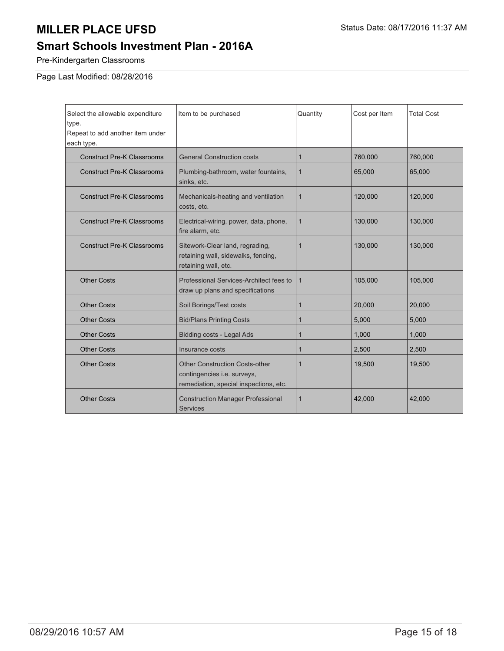### **Smart Schools Investment Plan - 2016A**

Pre-Kindergarten Classrooms

Page Last Modified: 08/28/2016

| Select the allowable expenditure<br>type.<br>Repeat to add another item under<br>each type. | Item to be purchased                                                                                           | Quantity     | Cost per Item | <b>Total Cost</b> |
|---------------------------------------------------------------------------------------------|----------------------------------------------------------------------------------------------------------------|--------------|---------------|-------------------|
| <b>Construct Pre-K Classrooms</b>                                                           | <b>General Construction costs</b>                                                                              | 1            | 760,000       | 760,000           |
| <b>Construct Pre-K Classrooms</b>                                                           | Plumbing-bathroom, water fountains,<br>sinks, etc.                                                             | 1            | 65,000        | 65,000            |
| <b>Construct Pre-K Classrooms</b>                                                           | Mechanicals-heating and ventilation<br>costs, etc.                                                             | $\mathbf{1}$ | 120,000       | 120,000           |
| <b>Construct Pre-K Classrooms</b>                                                           | Electrical-wiring, power, data, phone,<br>fire alarm, etc.                                                     | 1            | 130,000       | 130,000           |
| <b>Construct Pre-K Classrooms</b>                                                           | Sitework-Clear land, regrading,<br>retaining wall, sidewalks, fencing,<br>retaining wall, etc.                 |              | 130,000       | 130,000           |
| <b>Other Costs</b>                                                                          | Professional Services-Architect fees to<br>draw up plans and specifications                                    | $\mathbf{1}$ | 105,000       | 105,000           |
| <b>Other Costs</b>                                                                          | Soil Borings/Test costs                                                                                        |              | 20,000        | 20,000            |
| <b>Other Costs</b>                                                                          | <b>Bid/Plans Printing Costs</b>                                                                                |              | 5,000         | 5,000             |
| <b>Other Costs</b>                                                                          | Bidding costs - Legal Ads                                                                                      | 1            | 1,000         | 1,000             |
| <b>Other Costs</b>                                                                          | Insurance costs                                                                                                |              | 2,500         | 2,500             |
| <b>Other Costs</b>                                                                          | <b>Other Construction Costs-other</b><br>contingencies i.e. surveys,<br>remediation, special inspections, etc. | 1            | 19,500        | 19,500            |
| <b>Other Costs</b>                                                                          | <b>Construction Manager Professional</b><br><b>Services</b>                                                    |              | 42,000        | 42,000            |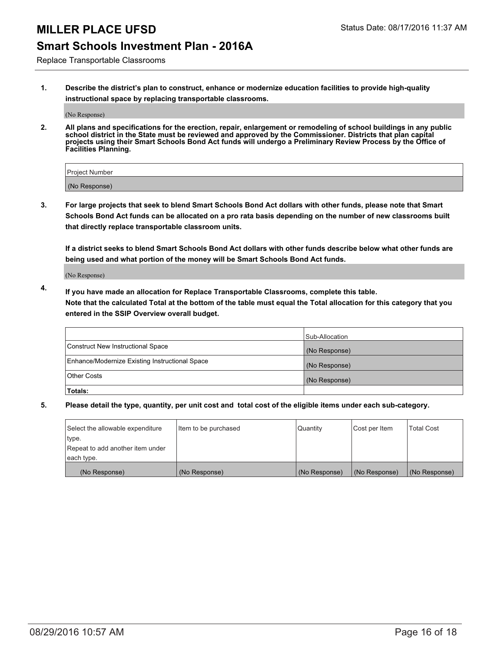### **Smart Schools Investment Plan - 2016A**

Replace Transportable Classrooms

**1. Describe the district's plan to construct, enhance or modernize education facilities to provide high-quality instructional space by replacing transportable classrooms.**

(No Response)

**2. All plans and specifications for the erection, repair, enlargement or remodeling of school buildings in any public school district in the State must be reviewed and approved by the Commissioner. Districts that plan capital projects using their Smart Schools Bond Act funds will undergo a Preliminary Review Process by the Office of Facilities Planning.**

| <b>Project Number</b> |  |
|-----------------------|--|
| (No Response)         |  |

**3. For large projects that seek to blend Smart Schools Bond Act dollars with other funds, please note that Smart Schools Bond Act funds can be allocated on a pro rata basis depending on the number of new classrooms built that directly replace transportable classroom units.**

**If a district seeks to blend Smart Schools Bond Act dollars with other funds describe below what other funds are being used and what portion of the money will be Smart Schools Bond Act funds.**

(No Response)

**4. If you have made an allocation for Replace Transportable Classrooms, complete this table. Note that the calculated Total at the bottom of the table must equal the Total allocation for this category that you entered in the SSIP Overview overall budget.**

|                                                | Sub-Allocation |
|------------------------------------------------|----------------|
| Construct New Instructional Space              | (No Response)  |
| Enhance/Modernize Existing Instructional Space | (No Response)  |
| <b>Other Costs</b>                             | (No Response)  |
| Totals:                                        |                |

| Select the allowable expenditure | Item to be purchased | Quantity      | Cost per Item | <b>Total Cost</b> |
|----------------------------------|----------------------|---------------|---------------|-------------------|
| type.                            |                      |               |               |                   |
| Repeat to add another item under |                      |               |               |                   |
| each type.                       |                      |               |               |                   |
| (No Response)                    | (No Response)        | (No Response) | (No Response) | (No Response)     |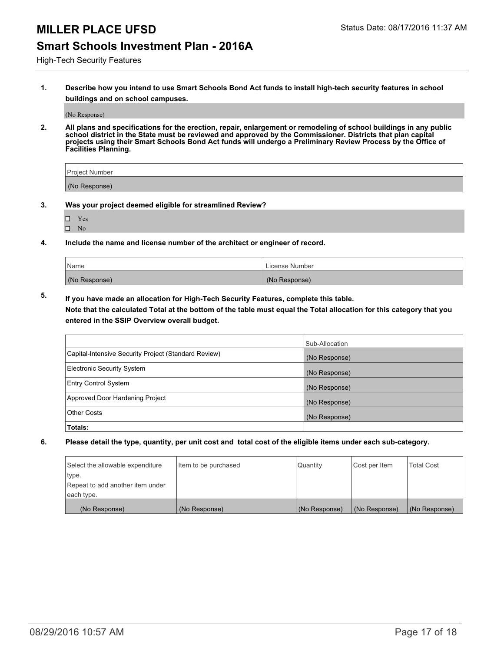#### **Smart Schools Investment Plan - 2016A**

High-Tech Security Features

**1. Describe how you intend to use Smart Schools Bond Act funds to install high-tech security features in school buildings and on school campuses.**

(No Response)

**2. All plans and specifications for the erection, repair, enlargement or remodeling of school buildings in any public school district in the State must be reviewed and approved by the Commissioner. Districts that plan capital projects using their Smart Schools Bond Act funds will undergo a Preliminary Review Process by the Office of Facilities Planning.** 

| Project Number |  |
|----------------|--|
| (No Response)  |  |

- **3. Was your project deemed eligible for streamlined Review?**
	- Yes
	- $\square$  No
- **4. Include the name and license number of the architect or engineer of record.**

| Name          | License Number |
|---------------|----------------|
| (No Response) | (No Response)  |

**5. If you have made an allocation for High-Tech Security Features, complete this table.**

**Note that the calculated Total at the bottom of the table must equal the Total allocation for this category that you entered in the SSIP Overview overall budget.**

|                                                      | Sub-Allocation |
|------------------------------------------------------|----------------|
| Capital-Intensive Security Project (Standard Review) | (No Response)  |
| <b>Electronic Security System</b>                    | (No Response)  |
| <b>Entry Control System</b>                          | (No Response)  |
| Approved Door Hardening Project                      | (No Response)  |
| <b>Other Costs</b>                                   | (No Response)  |
| Totals:                                              |                |

| Select the allowable expenditure | litem to be purchased | <b>Quantity</b> | Cost per Item | <b>Total Cost</b> |
|----------------------------------|-----------------------|-----------------|---------------|-------------------|
| type.                            |                       |                 |               |                   |
| Repeat to add another item under |                       |                 |               |                   |
| each type.                       |                       |                 |               |                   |
| (No Response)                    | (No Response)         | (No Response)   | (No Response) | (No Response)     |